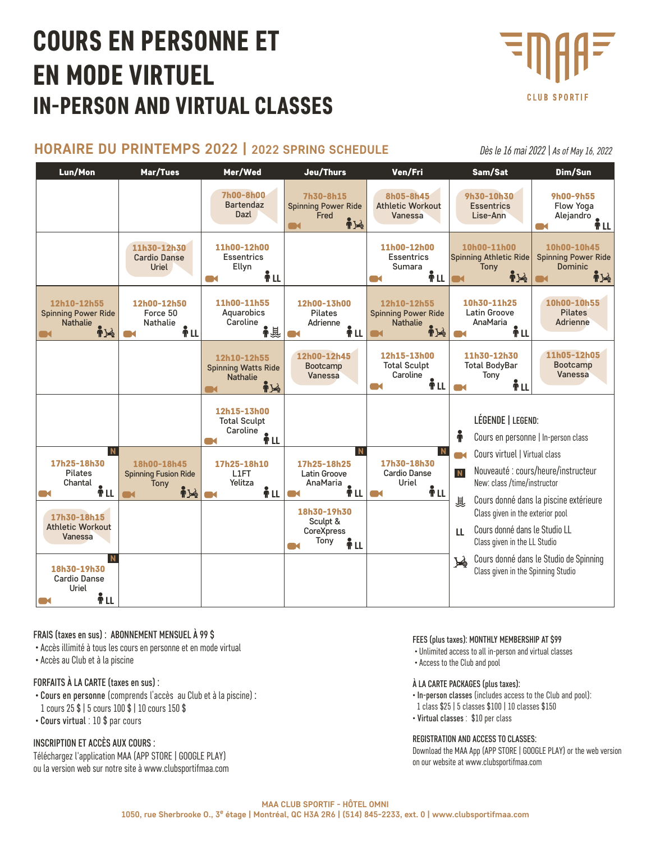# COURS EN PERSONNE ET EN MODE VIRTUEL IN-PERSON AND VIRTUAL CLASSES



## **HORAIRE DU PRINTEMPS 2022 | 2022 SPRING SCHEDULE**

*Dès le 16 mai 2022 | As of May 16, 2022*

| Lun/Mon                                                                      | Mar/Tues                                                                               | Mer/Wed                                                                       | Jeu/Thurs                                                              | Ven/Fri                                                                            | Sam/Sat                                                    | Dim/Sun                                                                      |  |
|------------------------------------------------------------------------------|----------------------------------------------------------------------------------------|-------------------------------------------------------------------------------|------------------------------------------------------------------------|------------------------------------------------------------------------------------|------------------------------------------------------------|------------------------------------------------------------------------------|--|
|                                                                              |                                                                                        | 7h00-8h00<br><b>Bartendaz</b><br>Dazl                                         | 7h30-8h15<br><b>Spinning Power Ride</b><br>Fred<br>$\frac{1}{2}$<br>M4 | 8h05-8h45<br><b>Athletic Workout</b><br>Vanessa                                    | 9h30-10h30<br>Essentrics<br>Lise-Ann                       | 9h00-9h55<br>Flow Yoga<br>Alejandro<br><b>TRL</b>                            |  |
|                                                                              | 11h30-12h30<br><b>Cardio Danse</b><br>Uriel                                            | 11h00-12h00<br><b>Essentrics</b><br>Ellyn<br>Ťμ<br><b>TM</b>                  |                                                                        | 11h00-12h00<br><b>Essentrics</b><br>Sumara<br>Ťμ                                   | 10h00-11h00<br><b>Spinning Athletic Ride</b><br>Tony<br>中心 | 10h00-10h45<br><b>Spinning Power Ride</b><br><b>Dominic</b><br>$\mathbf{N}$  |  |
| 12h10-12h55<br><b>Spinning Power Ride</b><br><b>Nathalie</b><br>$\mathbf{N}$ | 12h00-12h50<br>Force 50<br><b>Nathalie</b><br>Åμ                                       | 11h00-11h55<br>Aquarobics<br>Caroline<br>▌息                                   | 12h00-13h00<br><b>Pilates</b><br>Adrienne<br>Ťμ                        | 12h10-12h55<br><b>Spinning Power Ride</b><br><b>Nathalie</b><br><b>ide</b><br>ma d | 10h30-11h25<br><b>Latin Groove</b><br>AnaMaria<br>ŤLL      | 10h00-10h55<br><b>Pilates</b><br><b>Adrienne</b>                             |  |
|                                                                              |                                                                                        | 12h10-12h55<br><b>Spinning Watts Ride</b><br><b>Nathalie</b><br>$\frac{1}{2}$ | 12h00-12h45<br>Bootcamp<br>Vanessa                                     | 12h15-13h00<br><b>Total Sculpt</b><br>Caroline<br>Ťμ<br>ax.                        | 11h30-12h30<br><b>Total BodyBar</b><br>Tony<br>ŤΠ          | 11h05-12h05<br>Bootcamp<br>Vanessa                                           |  |
|                                                                              |                                                                                        | 12h15-13h00<br><b>Total Sculpt</b><br>Caroline<br>Åμ<br><b>Time</b>           |                                                                        |                                                                                    | ě                                                          | LÉGENDE   LEGEND:<br>Cours en personne   In-person class                     |  |
| N                                                                            |                                                                                        | 17h25-18h10                                                                   | $\mathbf N$                                                            | N                                                                                  | Cours virtuel   Virtual class                              |                                                                              |  |
| 17h25-18h30<br><b>Pilates</b><br>Chantal<br>ÎΗ                               | 18h00-18h45<br>L1FT<br><b>Spinning Fusion Ride</b><br>Yelitza<br>Tony<br>$\frac{1}{2}$ |                                                                               | 17h25-18h25<br>Latin Groove<br>AnaMaria<br>Ťμ<br><b>Time</b>           | 17h30-18h30<br><b>Cardio Danse</b><br>Uriel<br>Ťμ                                  | N                                                          | Nouveauté : cours/heure/instructeur<br>New: class /time/instructor           |  |
| 17h30-18h15<br><b>Athletic Workout</b><br>Vanessa                            | Tony                                                                                   | ÎΗ                                                                            | 18h30-19h30                                                            |                                                                                    | 眞<br>Class given in the exterior pool                      | Cours donné dans la piscine extérieure                                       |  |
|                                                                              |                                                                                        | Sculpt &<br><b>CoreXpress</b><br>Ťμ                                           |                                                                        | Cours donné dans le Studio LL<br>$\mathbf{H}$<br>Class given in the LL Studio      |                                                            |                                                                              |  |
| $\mathbf N$<br>18h30-19h30<br><b>Cardio Danse</b><br>Uriel<br>Ťμ             |                                                                                        |                                                                               |                                                                        |                                                                                    | <b>A</b>                                                   | Cours donné dans le Studio de Spinning<br>Class given in the Spinning Studio |  |
|                                                                              |                                                                                        |                                                                               |                                                                        |                                                                                    |                                                            |                                                                              |  |

### FRAIS (taxes en sus) : ABONNEMENT MENSUEL À 99 \$

- Accès illimité à tous les cours en personne et en mode virtual
- Accès au Club et à la piscine

### FORFAITS À LA CARTE (taxes en sus) :

- Cours en personne (comprends l'accès au Club et à la piscine) : 1 cours 25 \$ | 5 cours 100 \$ | 10 cours 150 \$
- Cours virtual : 10 \$ par cours

### INSCRIPTION ET ACCÈS AUX COURS :

Téléchargez l'application MAA [\(APP STORE](http://appstore.com/clubmaa) | [GOOGLE PLAY](https://play.google.com/store/apps/details?id=club.maa)) ou la version web sur notre site à www.clubsportifmaa.com

#### FEES (plus taxes): MONTHLY MEMBERSHIP AT \$99

- Unlimited access to all in-person and virtual classes
- Access to the Club and pool

### À LA CARTE PACKAGES (plus taxes):

- In-person classes (includes access to the Club and pool):
- 1 class \$25 | 5 classes \$100 | 10 classes \$150
- Virtual classes : \$10 per class

#### REGISTRATION AND ACCESS TO CLASSES:

Download the MAA App ([APP STORE](http://appstore.com/clubmaa) | [GOOGLE PLAY](https://play.google.com/store/apps/details?id=club.maa)) or the web version on our website at www.clubsportifmaa.com